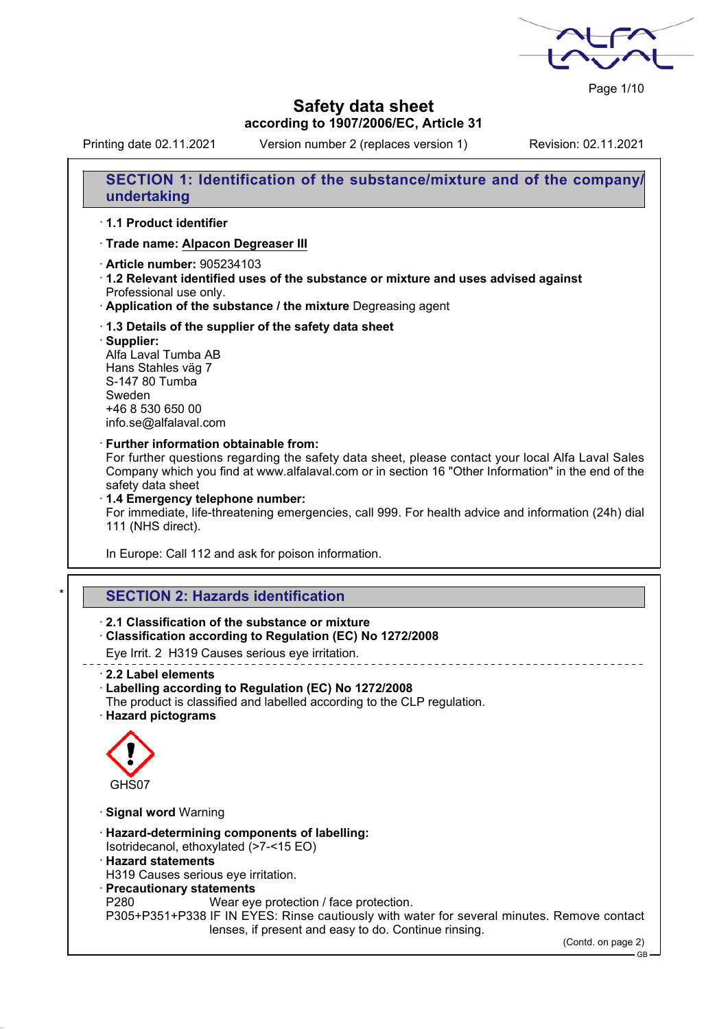Page 1/10

## **Safety data sheet according to 1907/2006/EC, Article 31**

Printing date 02.11.2021 Version number 2 (replaces version 1) Revision: 02.11.2021

**SECTION 1: Identification of the substance/mixture and of the company/ undertaking**

## · **1.1 Product identifier**

· **Trade name: Alpacon Degreaser III**

- · **Article number:** 905234103
- · **1.2 Relevant identified uses of the substance or mixture and uses advised against** Professional use only.
- · **Application of the substance / the mixture** Degreasing agent
- · **1.3 Details of the supplier of the safety data sheet**
- · **Supplier:**

Alfa Laval Tumba AB Hans Stahles väg 7 S-147 80 Tumba Sweden +46 8 530 650 00 info.se@alfalaval.com

#### · **Further information obtainable from:**

For further questions regarding the safety data sheet, please contact your local Alfa Laval Sales Company which you find at www.alfalaval.com or in section 16 "Other Information" in the end of the safety data sheet

· **1.4 Emergency telephone number:**

For immediate, life-threatening emergencies, call 999. For health advice and information (24h) dial 111 (NHS direct).

\_\_\_\_\_\_\_\_\_\_\_\_\_\_\_\_\_\_\_\_\_

In Europe: Call 112 and ask for poison information.

# **SECTION 2: Hazards identification**

## · **2.1 Classification of the substance or mixture**

· **Classification according to Regulation (EC) No 1272/2008**

Eye Irrit. 2 H319 Causes serious eye irritation.

· **2.2 Label elements**

## · **Labelling according to Regulation (EC) No 1272/2008**

- The product is classified and labelled according to the CLP regulation.
- · **Hazard pictograms**



- · **Signal word** Warning
- · **Hazard-determining components of labelling:** Isotridecanol, ethoxylated (>7-<15 EO)
- · **Hazard statements**
- H319 Causes serious eye irritation.
- · **Precautionary statements**

P280 Wear eye protection / face protection.

P305+P351+P338 IF IN EYES: Rinse cautiously with water for several minutes. Remove contact lenses, if present and easy to do. Continue rinsing.

(Contd. on page 2)

GB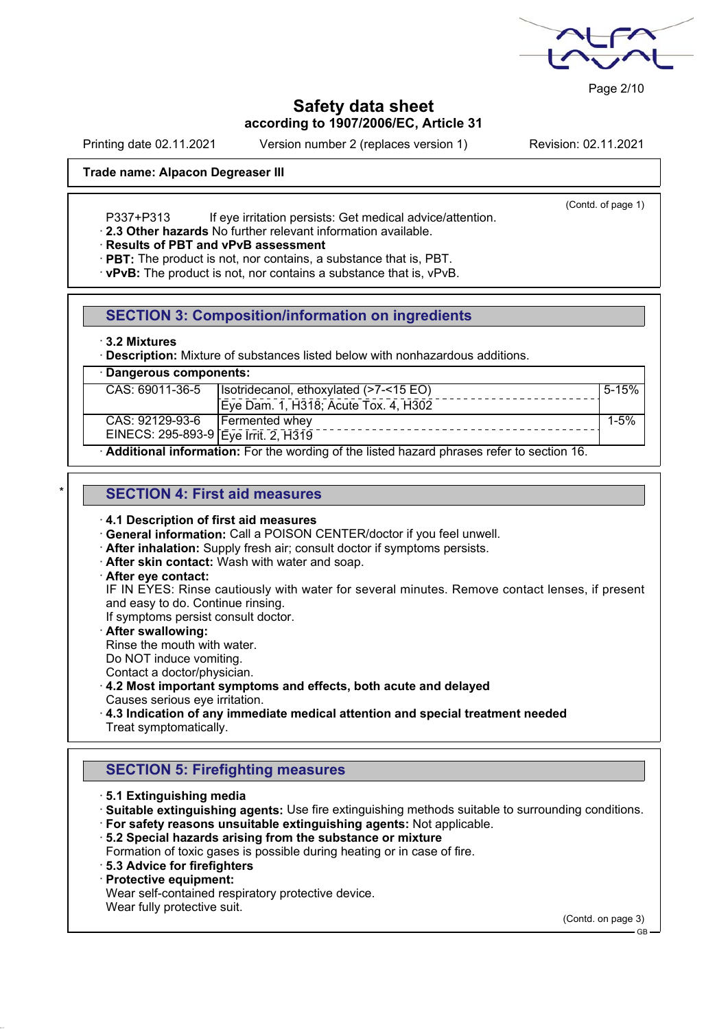

Page 2/10

**Safety data sheet according to 1907/2006/EC, Article 31**

Printing date 02.11.2021 Version number 2 (replaces version 1) Revision: 02.11.2021

(Contd. of page 1)

### **Trade name: Alpacon Degreaser III**

P337+P313 If eye irritation persists: Get medical advice/attention.

· **2.3 Other hazards** No further relevant information available.

#### · **Results of PBT and vPvB assessment**

· **PBT:** The product is not, nor contains, a substance that is, PBT.

· **vPvB:** The product is not, nor contains a substance that is, vPvB.

### **SECTION 3: Composition/information on ingredients**

#### · **3.2 Mixtures**

**Description:** Mixture of substances listed below with nonhazardous additions.

| · Dangerous components:                                                                   |                                                     |  |  |  |
|-------------------------------------------------------------------------------------------|-----------------------------------------------------|--|--|--|
| CAS: 69011-36-5                                                                           | $5 - 15%$<br>Isotridecanol, ethoxylated (>7-<15 EO) |  |  |  |
|                                                                                           | Eye Dam. 1, H318; Acute Tox. 4, H302                |  |  |  |
| CAS: 92129-93-6                                                                           | <b>Fermented whey</b><br>$1 - 5%$                   |  |  |  |
| EINECS: 295-893-9 Eye Irrit. 2, H319                                                      |                                                     |  |  |  |
| Additional information: For the wording of the listed hazard phrases refer to section 16. |                                                     |  |  |  |

## \* **SECTION 4: First aid measures**

#### · **4.1 Description of first aid measures**

· **General information:** Call a POISON CENTER/doctor if you feel unwell.

- · **After inhalation:** Supply fresh air; consult doctor if symptoms persists.
- · **After skin contact:** Wash with water and soap.
- · **After eye contact:**

IF IN EYES: Rinse cautiously with water for several minutes. Remove contact lenses, if present and easy to do. Continue rinsing.

If symptoms persist consult doctor.

· **After swallowing:**

Rinse the mouth with water.

Do NOT induce vomiting.

Contact a doctor/physician.

#### · **4.2 Most important symptoms and effects, both acute and delayed** Causes serious eye irritation.

· **4.3 Indication of any immediate medical attention and special treatment needed** Treat symptomatically.

## **SECTION 5: Firefighting measures**

· **5.1 Extinguishing media**

· **Suitable extinguishing agents:** Use fire extinguishing methods suitable to surrounding conditions.

- · **For safety reasons unsuitable extinguishing agents:** Not applicable.
- · **5.2 Special hazards arising from the substance or mixture**
- Formation of toxic gases is possible during heating or in case of fire.
- · **5.3 Advice for firefighters**
- · **Protective equipment:**

Wear self-contained respiratory protective device.

Wear fully protective suit.

(Contd. on page 3)

GB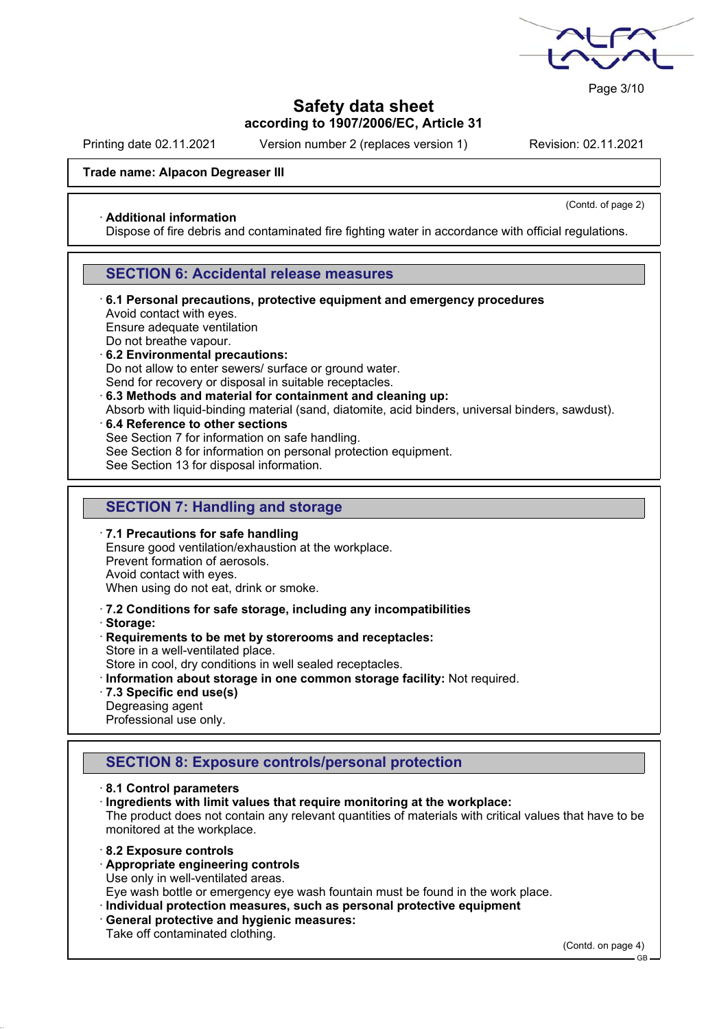

Page 3/10

# **Safety data sheet according to 1907/2006/EC, Article 31**

Printing date 02.11.2021 Version number 2 (replaces version 1) Revision: 02.11.2021

(Contd. of page 2)

### **Trade name: Alpacon Degreaser III**

#### · **Additional information**

Dispose of fire debris and contaminated fire fighting water in accordance with official regulations.

## **SECTION 6: Accidental release measures**

· **6.1 Personal precautions, protective equipment and emergency procedures** Avoid contact with eyes.

Ensure adequate ventilation

Do not breathe vapour.

· **6.2 Environmental precautions:**

Do not allow to enter sewers/ surface or ground water.

- Send for recovery or disposal in suitable receptacles.
- · **6.3 Methods and material for containment and cleaning up:**

Absorb with liquid-binding material (sand, diatomite, acid binders, universal binders, sawdust).

· **6.4 Reference to other sections**

See Section 7 for information on safe handling.

See Section 8 for information on personal protection equipment.

See Section 13 for disposal information.

# **SECTION 7: Handling and storage**

- · **7.1 Precautions for safe handling** Ensure good ventilation/exhaustion at the workplace. Prevent formation of aerosols. Avoid contact with eyes. When using do not eat, drink or smoke.
- · **7.2 Conditions for safe storage, including any incompatibilities**
- · **Storage:**
- · **Requirements to be met by storerooms and receptacles:** Store in a well-ventilated place.
- Store in cool, dry conditions in well sealed receptacles.
- · **Information about storage in one common storage facility:** Not required.
- · **7.3 Specific end use(s)**
- Degreasing agent

Professional use only.

# **SECTION 8: Exposure controls/personal protection**

- · **8.1 Control parameters**
- · **Ingredients with limit values that require monitoring at the workplace:**

The product does not contain any relevant quantities of materials with critical values that have to be monitored at the workplace.

- · **8.2 Exposure controls**
- · **Appropriate engineering controls**

Use only in well-ventilated areas.

Eye wash bottle or emergency eye wash fountain must be found in the work place.

- · **Individual protection measures, such as personal protective equipment**
- · **General protective and hygienic measures:**
- Take off contaminated clothing.

(Contd. on page 4)

GB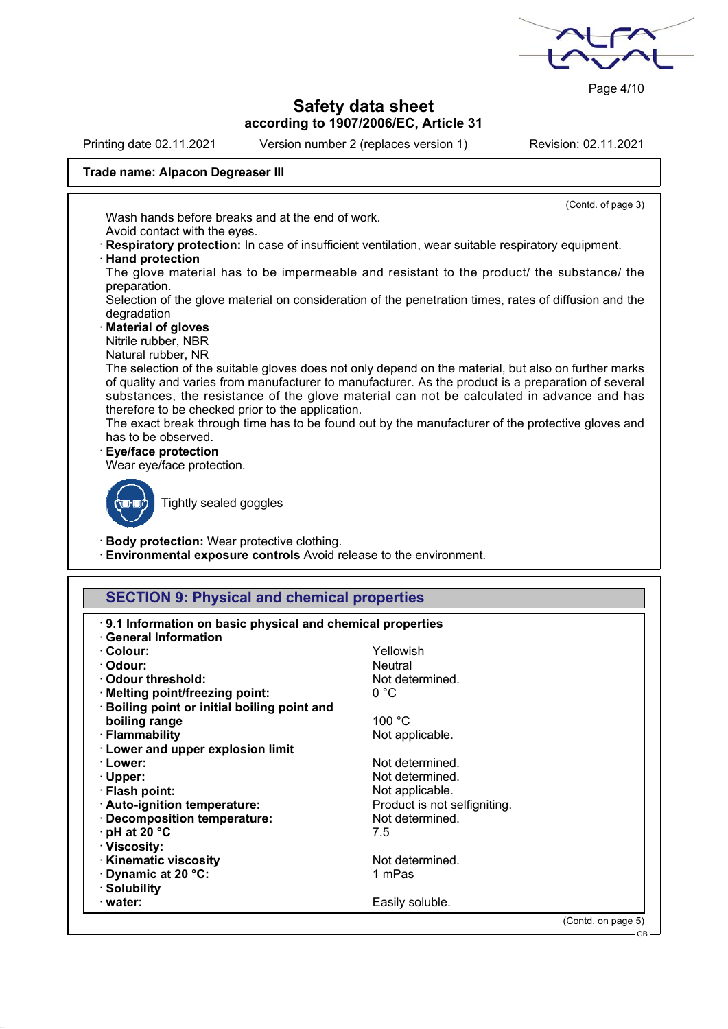

Page 4/10

# **Safety data sheet according to 1907/2006/EC, Article 31**

Printing date 02.11.2021 Version number 2 (replaces version 1) Revision: 02.11.2021

(Contd. of page 3)

### **Trade name: Alpacon Degreaser III**

Wash hands before breaks and at the end of work. Avoid contact with the eyes.

· **Respiratory protection:** In case of insufficient ventilation, wear suitable respiratory equipment. · **Hand protection**

The glove material has to be impermeable and resistant to the product/ the substance/ the preparation.

Selection of the glove material on consideration of the penetration times, rates of diffusion and the degradation

- · **Material of gloves**
- Nitrile rubber, NBR
- Natural rubber, NR

The selection of the suitable gloves does not only depend on the material, but also on further marks of quality and varies from manufacturer to manufacturer. As the product is a preparation of several substances, the resistance of the glove material can not be calculated in advance and has therefore to be checked prior to the application.

The exact break through time has to be found out by the manufacturer of the protective gloves and has to be observed.

· **Eye/face protection**

Wear eye/face protection.



Tightly sealed goggles

· **Body protection:** Wear protective clothing.

· **Environmental exposure controls** Avoid release to the environment.

## **SECTION 9: Physical and chemical properties**

| · Odour:<br><b>Neutral</b><br>Odour threshold:<br>Not determined.<br>0 °C<br>· Melting point/freezing point:<br>Boiling point or initial boiling point and<br>100 °C<br>boiling range<br>· Flammability<br>Not applicable.<br><b>Lower and upper explosion limit</b><br>Not determined.<br>· Lower:<br>Not determined.<br>$\cdot$ Upper:<br>· Flash point:<br>Not applicable.<br>Product is not selfigniting.<br>· Auto-ignition temperature:<br>Not determined.<br>· Decomposition temperature:<br>$\cdot$ pH at 20 $\degree$ C<br>7.5<br>· Viscosity:<br><b>Kinematic viscosity</b><br>Not determined.<br>Dynamic at 20 °C:<br>1 mPas<br>· Solubility | <b>General Information</b><br>· Colour: | Yellowish       |  |
|---------------------------------------------------------------------------------------------------------------------------------------------------------------------------------------------------------------------------------------------------------------------------------------------------------------------------------------------------------------------------------------------------------------------------------------------------------------------------------------------------------------------------------------------------------------------------------------------------------------------------------------------------------|-----------------------------------------|-----------------|--|
|                                                                                                                                                                                                                                                                                                                                                                                                                                                                                                                                                                                                                                                         |                                         |                 |  |
|                                                                                                                                                                                                                                                                                                                                                                                                                                                                                                                                                                                                                                                         |                                         |                 |  |
|                                                                                                                                                                                                                                                                                                                                                                                                                                                                                                                                                                                                                                                         |                                         |                 |  |
|                                                                                                                                                                                                                                                                                                                                                                                                                                                                                                                                                                                                                                                         |                                         |                 |  |
|                                                                                                                                                                                                                                                                                                                                                                                                                                                                                                                                                                                                                                                         |                                         |                 |  |
|                                                                                                                                                                                                                                                                                                                                                                                                                                                                                                                                                                                                                                                         |                                         |                 |  |
|                                                                                                                                                                                                                                                                                                                                                                                                                                                                                                                                                                                                                                                         |                                         |                 |  |
|                                                                                                                                                                                                                                                                                                                                                                                                                                                                                                                                                                                                                                                         |                                         |                 |  |
|                                                                                                                                                                                                                                                                                                                                                                                                                                                                                                                                                                                                                                                         |                                         |                 |  |
|                                                                                                                                                                                                                                                                                                                                                                                                                                                                                                                                                                                                                                                         |                                         |                 |  |
|                                                                                                                                                                                                                                                                                                                                                                                                                                                                                                                                                                                                                                                         |                                         |                 |  |
|                                                                                                                                                                                                                                                                                                                                                                                                                                                                                                                                                                                                                                                         |                                         |                 |  |
|                                                                                                                                                                                                                                                                                                                                                                                                                                                                                                                                                                                                                                                         |                                         |                 |  |
|                                                                                                                                                                                                                                                                                                                                                                                                                                                                                                                                                                                                                                                         |                                         |                 |  |
|                                                                                                                                                                                                                                                                                                                                                                                                                                                                                                                                                                                                                                                         |                                         |                 |  |
|                                                                                                                                                                                                                                                                                                                                                                                                                                                                                                                                                                                                                                                         |                                         |                 |  |
|                                                                                                                                                                                                                                                                                                                                                                                                                                                                                                                                                                                                                                                         |                                         |                 |  |
|                                                                                                                                                                                                                                                                                                                                                                                                                                                                                                                                                                                                                                                         |                                         |                 |  |
|                                                                                                                                                                                                                                                                                                                                                                                                                                                                                                                                                                                                                                                         | $\cdot$ water:                          | Easily soluble. |  |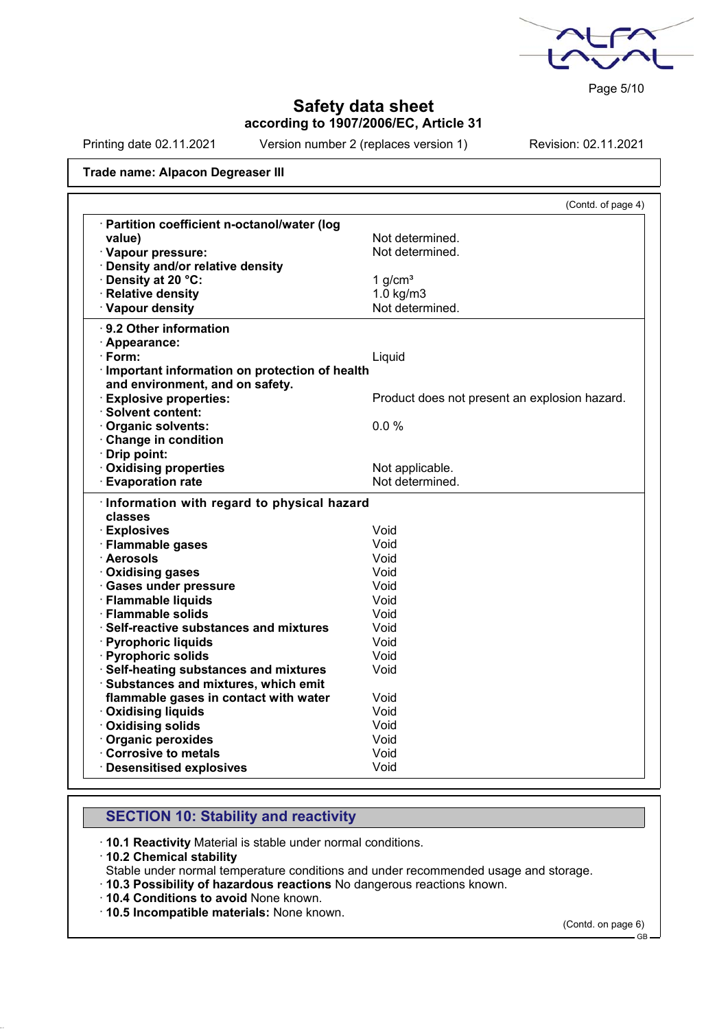

Page 5/10

# **Safety data sheet according to 1907/2006/EC, Article 31**

Printing date 02.11.2021 Version number 2 (replaces version 1) Revision: 02.11.2021

#### **Trade name: Alpacon Degreaser III**

|                                                       | (Contd. of page 4)                            |
|-------------------------------------------------------|-----------------------------------------------|
| · Partition coefficient n-octanol/water (log          |                                               |
| value)                                                | Not determined.                               |
| · Vapour pressure:                                    | Not determined.                               |
| · Density and/or relative density                     |                                               |
| · Density at 20 °C:                                   | 1 $g/cm3$                                     |
| · Relative density                                    | $1.0$ kg/m $3$                                |
| · Vapour density                                      | Not determined.                               |
| · 9.2 Other information                               |                                               |
| · Appearance:                                         |                                               |
| · Form:                                               | Liquid                                        |
| · Important information on protection of health       |                                               |
| and environment, and on safety.                       |                                               |
| <b>Explosive properties:</b>                          | Product does not present an explosion hazard. |
| · Solvent content:                                    |                                               |
| Organic solvents:                                     | 0.0%                                          |
| Change in condition                                   |                                               |
| Drip point:                                           |                                               |
| <b>Oxidising properties</b>                           | Not applicable.                               |
| <b>Evaporation rate</b>                               | Not determined.                               |
| Information with regard to physical hazard<br>classes |                                               |
| · Explosives                                          | Void                                          |
| · Flammable gases                                     | Void                                          |
| · Aerosols                                            | Void                                          |
| · Oxidising gases                                     | Void                                          |
| · Gases under pressure                                | Void                                          |
| · Flammable liquids                                   | Void                                          |
| $\cdot$ Flammable solids                              | Void                                          |
| · Self-reactive substances and mixtures               | Void                                          |
| · Pyrophoric liquids                                  | Void                                          |
| · Pyrophoric solids                                   | Void                                          |
| · Self-heating substances and mixtures                | Void                                          |
| · Substances and mixtures, which emit                 |                                               |
| flammable gases in contact with water                 | Void                                          |
| <b>Oxidising liquids</b>                              | Void                                          |
| · Oxidising solids                                    | Void                                          |
| · Organic peroxides                                   | Void                                          |
| Corrosive to metals                                   | Void                                          |
| <b>Desensitised explosives</b>                        | Void                                          |

## **SECTION 10: Stability and reactivity**

· **10.1 Reactivity** Material is stable under normal conditions.

- · **10.2 Chemical stability**
- Stable under normal temperature conditions and under recommended usage and storage.
- · **10.3 Possibility of hazardous reactions** No dangerous reactions known.
- · **10.4 Conditions to avoid** None known.

· **10.5 Incompatible materials:** None known.

(Contd. on page 6)

GB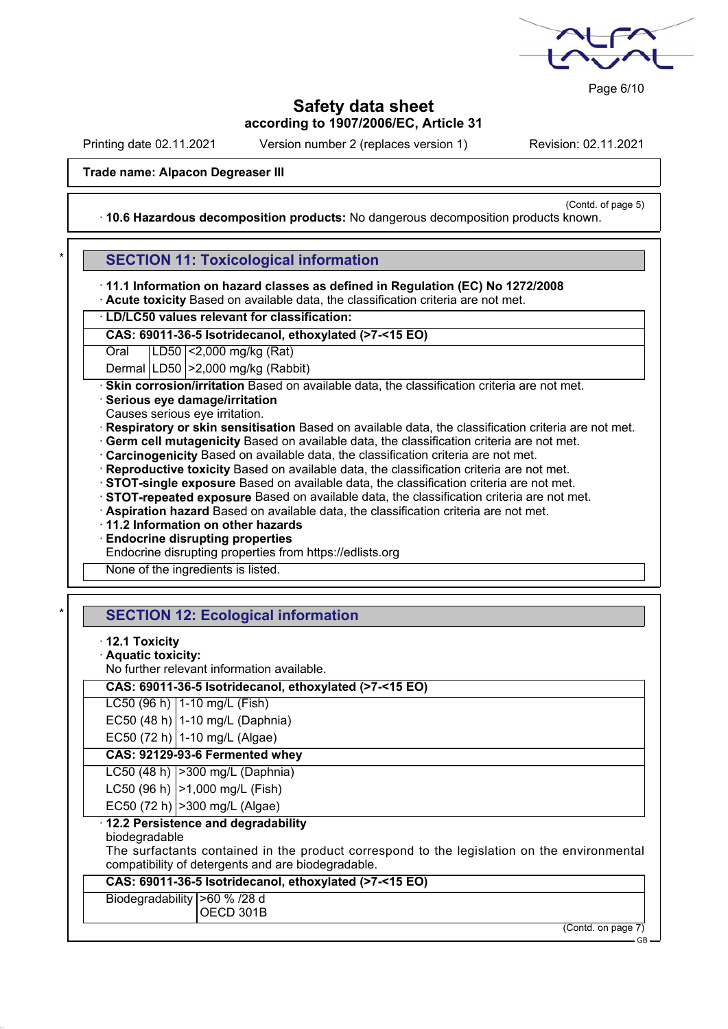

Page 6/10

# **Safety data sheet according to 1907/2006/EC, Article 31**

Printing date 02.11.2021 Version number 2 (replaces version 1) Revision: 02.11.2021

(Contd. of page 5)

#### **Trade name: Alpacon Degreaser III**

· **10.6 Hazardous decomposition products:** No dangerous decomposition products known.

## **SECTION 11: Toxicological information**

· **11.1 Information on hazard classes as defined in Regulation (EC) No 1272/2008**

· **Acute toxicity** Based on available data, the classification criteria are not met.

· **LD/LC50 values relevant for classification:**

**CAS: 69011-36-5 Isotridecanol, ethoxylated (>7-<15 EO)**

Oral LD50 <2,000 mg/kg (Rat)

Dermal LD50 >2,000 mg/kg (Rabbit)

· **Skin corrosion/irritation** Based on available data, the classification criteria are not met.

- · **Serious eye damage/irritation**
- Causes serious eye irritation.
- · **Respiratory or skin sensitisation** Based on available data, the classification criteria are not met.
- · **Germ cell mutagenicity** Based on available data, the classification criteria are not met.
- · **Carcinogenicity** Based on available data, the classification criteria are not met.
- · **Reproductive toxicity** Based on available data, the classification criteria are not met.
- · **STOT-single exposure** Based on available data, the classification criteria are not met.
- · **STOT-repeated exposure** Based on available data, the classification criteria are not met.
- · **Aspiration hazard** Based on available data, the classification criteria are not met.
- · **11.2 Information on other hazards**
- · **Endocrine disrupting properties**
- Endocrine disrupting properties from https://edlists.org

None of the ingredients is listed.

# **SECTION 12: Ecological information**

- · **12.1 Toxicity**
- · **Aquatic toxicity:**
- No further relevant information available.

## **CAS: 69011-36-5 Isotridecanol, ethoxylated (>7-<15 EO)**

- LC50 (96 h) 1-10 mg/L (Fish) EC50 (48 h) 1-10 mg/L (Daphnia)
- 
- EC50 (72 h) 1-10 mg/L (Algae)

# **CAS: 92129-93-6 Fermented whey**

- LC50 (48 h) >300 mg/L (Daphnia)
- LC50 (96 h) | > 1,000 mg/L (Fish)
- EC50 (72 h)  $|>300$  mg/L (Algae)

# · **12.2 Persistence and degradability**

biodegradable

The surfactants contained in the product correspond to the legislation on the environmental compatibility of detergents and are biodegradable.

## **CAS: 69011-36-5 Isotridecanol, ethoxylated (>7-<15 EO)**

Biodegradability >60 % /28 d OECD 301B

(Contd. on page 7)

GB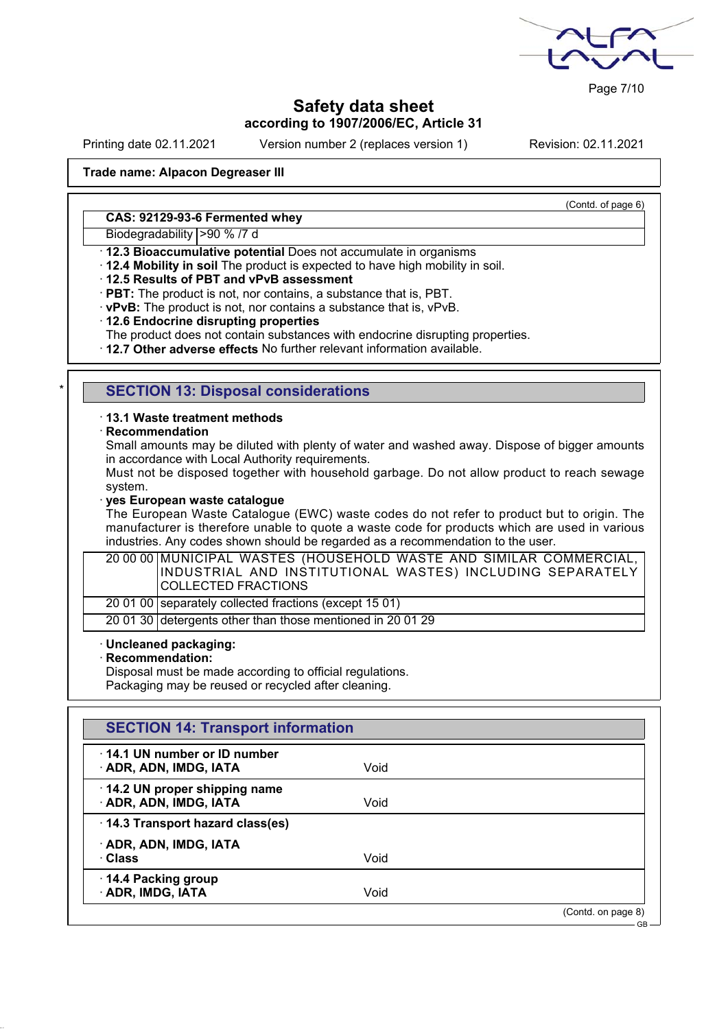

Page 7/10

# **Safety data sheet according to 1907/2006/EC, Article 31**

Printing date 02.11.2021 Version number 2 (replaces version 1) Revision: 02.11.2021

(Contd. of page 6)

#### **Trade name: Alpacon Degreaser III**

#### **CAS: 92129-93-6 Fermented whey**

Biodegradability >90 % /7 d

- · **12.3 Bioaccumulative potential** Does not accumulate in organisms
- · **12.4 Mobility in soil** The product is expected to have high mobility in soil.
- · **12.5 Results of PBT and vPvB assessment**
- · **PBT:** The product is not, nor contains, a substance that is, PBT.
- · **vPvB:** The product is not, nor contains a substance that is, vPvB.
- · **12.6 Endocrine disrupting properties**
- The product does not contain substances with endocrine disrupting properties.
- · **12.7 Other adverse effects** No further relevant information available.

### **SECTION 13: Disposal considerations**

· **13.1 Waste treatment methods**

#### · **Recommendation**

Small amounts may be diluted with plenty of water and washed away. Dispose of bigger amounts in accordance with Local Authority requirements.

Must not be disposed together with household garbage. Do not allow product to reach sewage system.

#### · **yes European waste catalogue**

The European Waste Catalogue (EWC) waste codes do not refer to product but to origin. The manufacturer is therefore unable to quote a waste code for products which are used in various industries. Any codes shown should be regarded as a recommendation to the user.

20 00 00 MUNICIPAL WASTES (HOUSEHOLD WASTE AND SIMILAR COMMERCIAL, INDUSTRIAL AND INSTITUTIONAL WASTES) INCLUDING SEPARATELY COLLECTED FRACTIONS

20 01 00 separately collected fractions (except 15 01)

20 01 30 detergents other than those mentioned in 20 01 29

## · **Uncleaned packaging:**

· **Recommendation:**

Disposal must be made according to official regulations.

Packaging may be reused or recycled after cleaning.

# **SECTION 14: Transport information** · **14.1 UN number or ID number ADR, ADN, IMDG, IATA** Void · **14.2 UN proper shipping name** · **ADR, ADN, IMDG, IATA** Void · **14.3 Transport hazard class(es)** · **ADR, ADN, IMDG, IATA** · **Class** Void · **14.4 Packing group** · **ADR, IMDG, IATA** Void (Contd. on page 8) GB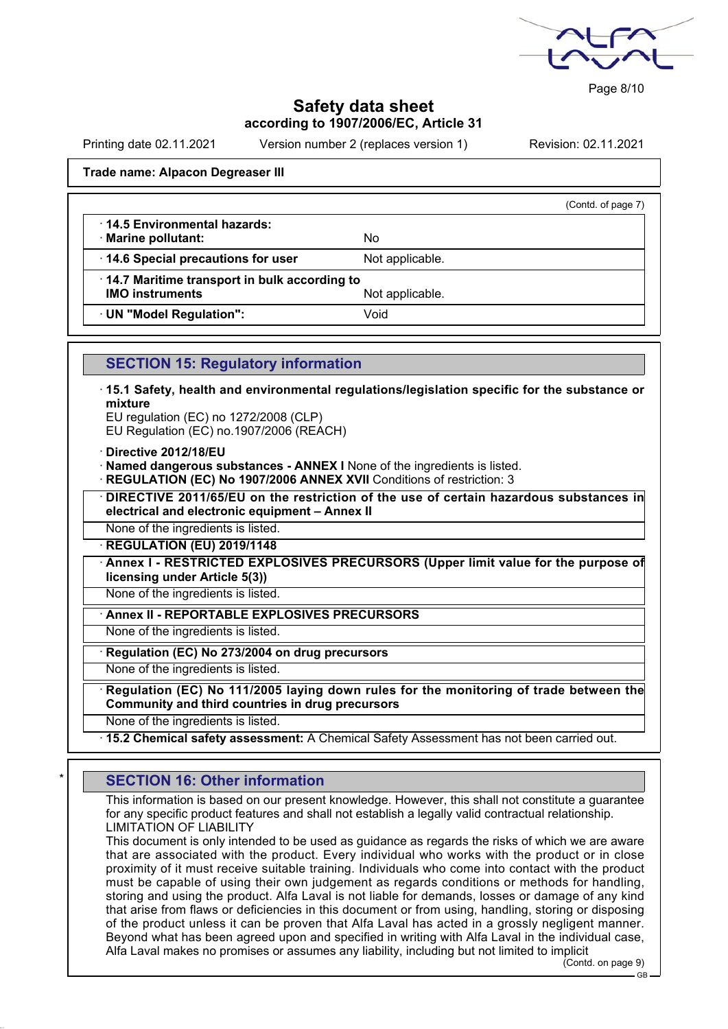

Page 8/10

## **Safety data sheet according to 1907/2006/EC, Article 31**

Printing date 02.11.2021 Version number 2 (replaces version 1) Revision: 02.11.2021

(Contd. of page 7)

#### **Trade name: Alpacon Degreaser III**

| 14.5 Environmental hazards: |  |
|-----------------------------|--|
|-----------------------------|--|

· **Marine pollutant:** No

· **14.7 Maritime transport in bulk according to**

**IMO instruments** Not applicable.

**14.6 Special precautions for user** Not applicable.

· **UN "Model Regulation":** Void

## **SECTION 15: Regulatory information**

· **15.1 Safety, health and environmental regulations/legislation specific for the substance or mixture**

EU regulation (EC) no 1272/2008 (CLP) EU Regulation (EC) no.1907/2006 (REACH)

· **Directive 2012/18/EU**

- · **Named dangerous substances ANNEX I** None of the ingredients is listed.
- **REGULATION (EC) No 1907/2006 ANNEX XVII** Conditions of restriction: 3

· **DIRECTIVE 2011/65/EU on the restriction of the use of certain hazardous substances in electrical and electronic equipment – Annex II**

None of the ingredients is listed.

· **REGULATION (EU) 2019/1148**

· **Annex I - RESTRICTED EXPLOSIVES PRECURSORS (Upper limit value for the purpose of licensing under Article 5(3))**

None of the ingredients is listed.

· **Annex II - REPORTABLE EXPLOSIVES PRECURSORS**

None of the ingredients is listed.

· **Regulation (EC) No 273/2004 on drug precursors**

None of the ingredients is listed.

· **Regulation (EC) No 111/2005 laying down rules for the monitoring of trade between the Community and third countries in drug precursors**

None of the ingredients is listed.

· **15.2 Chemical safety assessment:** A Chemical Safety Assessment has not been carried out.

## **SECTION 16: Other information**

This information is based on our present knowledge. However, this shall not constitute a guarantee for any specific product features and shall not establish a legally valid contractual relationship. LIMITATION OF LIABILITY

This document is only intended to be used as guidance as regards the risks of which we are aware that are associated with the product. Every individual who works with the product or in close proximity of it must receive suitable training. Individuals who come into contact with the product must be capable of using their own judgement as regards conditions or methods for handling, storing and using the product. Alfa Laval is not liable for demands, losses or damage of any kind that arise from flaws or deficiencies in this document or from using, handling, storing or disposing of the product unless it can be proven that Alfa Laval has acted in a grossly negligent manner. Beyond what has been agreed upon and specified in writing with Alfa Laval in the individual case, Alfa Laval makes no promises or assumes any liability, including but not limited to implicit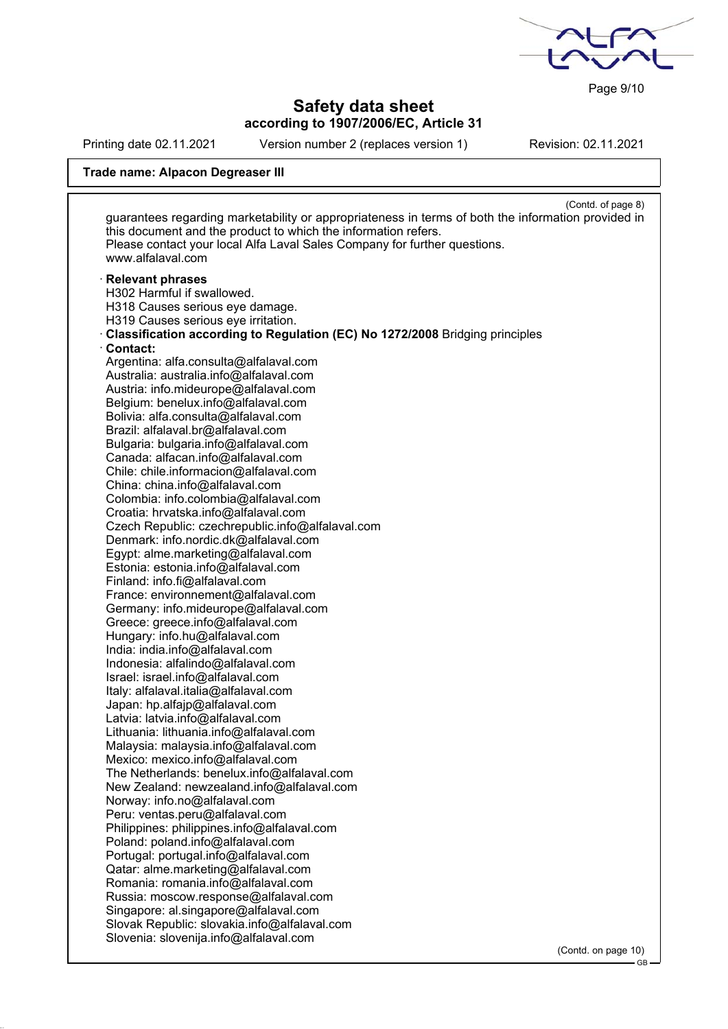Page 9/10

# **Safety data sheet according to 1907/2006/EC, Article 31**

Printing date 02.11.2021 Version number 2 (replaces version 1) Revision: 02.11.2021

# **Trade name: Alpacon Degreaser III**

|                                                                                                | (Contd. of page 8)<br>guarantees regarding marketability or appropriateness in terms of both the information provided in |
|------------------------------------------------------------------------------------------------|--------------------------------------------------------------------------------------------------------------------------|
| this document and the product to which the information refers.                                 |                                                                                                                          |
| Please contact your local Alfa Laval Sales Company for further questions.<br>www.alfalaval.com |                                                                                                                          |
|                                                                                                |                                                                                                                          |
| <b>Relevant phrases</b>                                                                        |                                                                                                                          |
| H302 Harmful if swallowed.                                                                     |                                                                                                                          |
| H318 Causes serious eye damage.                                                                |                                                                                                                          |
| H319 Causes serious eye irritation.                                                            |                                                                                                                          |
| Classification according to Regulation (EC) No 1272/2008 Bridging principles                   |                                                                                                                          |
| Contact:                                                                                       |                                                                                                                          |
| Argentina: alfa.consulta@alfalaval.com                                                         |                                                                                                                          |
| Australia: australia.info@alfalaval.com                                                        |                                                                                                                          |
| Austria: info.mideurope@alfalaval.com                                                          |                                                                                                                          |
| Belgium: benelux.info@alfalaval.com                                                            |                                                                                                                          |
| Bolivia: alfa.consulta@alfalaval.com                                                           |                                                                                                                          |
| Brazil: alfalaval.br@alfalaval.com                                                             |                                                                                                                          |
| Bulgaria: bulgaria.info@alfalaval.com                                                          |                                                                                                                          |
| Canada: alfacan.info@alfalaval.com                                                             |                                                                                                                          |
| Chile: chile.informacion@alfalaval.com                                                         |                                                                                                                          |
| China: china.info@alfalaval.com                                                                |                                                                                                                          |
| Colombia: info.colombia@alfalaval.com                                                          |                                                                                                                          |
| Croatia: hrvatska.info@alfalaval.com                                                           |                                                                                                                          |
| Czech Republic: czechrepublic.info@alfalaval.com                                               |                                                                                                                          |
|                                                                                                |                                                                                                                          |
| Denmark: info.nordic.dk@alfalaval.com                                                          |                                                                                                                          |
| Egypt: alme.marketing@alfalaval.com                                                            |                                                                                                                          |
| Estonia: estonia.info@alfalaval.com                                                            |                                                                                                                          |
| Finland: info.fi@alfalaval.com                                                                 |                                                                                                                          |
| France: environnement@alfalaval.com                                                            |                                                                                                                          |
| Germany: info.mideurope@alfalaval.com                                                          |                                                                                                                          |
| Greece: greece.info@alfalaval.com                                                              |                                                                                                                          |
| Hungary: info.hu@alfalaval.com                                                                 |                                                                                                                          |
| India: india.info@alfalaval.com                                                                |                                                                                                                          |
| Indonesia: alfalindo@alfalaval.com                                                             |                                                                                                                          |
| Israel: israel.info@alfalaval.com                                                              |                                                                                                                          |
| Italy: alfalaval.italia@alfalaval.com                                                          |                                                                                                                          |
| Japan: hp.alfajp@alfalaval.com                                                                 |                                                                                                                          |
| Latvia: latvia.info@alfalaval.com                                                              |                                                                                                                          |
| Lithuania: lithuania.info@alfalaval.com                                                        |                                                                                                                          |
| Malaysia: malaysia.info@alfalaval.com                                                          |                                                                                                                          |
| Mexico: mexico.info@alfalaval.com                                                              |                                                                                                                          |
| The Netherlands: benelux.info@alfalaval.com                                                    |                                                                                                                          |
| New Zealand: newzealand.info@alfalaval.com                                                     |                                                                                                                          |
| Norway: info.no@alfalaval.com                                                                  |                                                                                                                          |
| Peru: ventas.peru@alfalaval.com                                                                |                                                                                                                          |
| Philippines: philippines.info@alfalaval.com                                                    |                                                                                                                          |
| Poland: poland.info@alfalaval.com                                                              |                                                                                                                          |
| Portugal: portugal.info@alfalaval.com                                                          |                                                                                                                          |
| Qatar: alme.marketing@alfalaval.com                                                            |                                                                                                                          |
| Romania: romania.info@alfalaval.com                                                            |                                                                                                                          |
| Russia: moscow.response@alfalaval.com                                                          |                                                                                                                          |
| Singapore: al.singapore@alfalaval.com                                                          |                                                                                                                          |
| Slovak Republic: slovakia.info@alfalaval.com                                                   |                                                                                                                          |
| Slovenia: slovenija.info@alfalaval.com                                                         |                                                                                                                          |